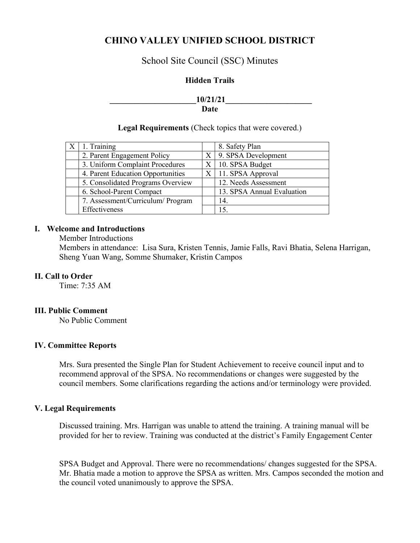# **CHINO VALLEY UNIFIED SCHOOL DISTRICT**

## School Site Council (SSC) Minutes

### **Hidden Trails**

## **10/21/21 Date**

### **Legal Requirements** (Check topics that were covered.)

| 1. Training                       |    | 8. Safety Plan             |
|-----------------------------------|----|----------------------------|
| 2. Parent Engagement Policy       | X. | 9. SPSA Development        |
| 3. Uniform Complaint Procedures   |    | $X \mid 10$ . SPSA Budget  |
| 4. Parent Education Opportunities |    | $X$   11. SPSA Approval    |
| 5. Consolidated Programs Overview |    | 12. Needs Assessment       |
| 6. School-Parent Compact          |    | 13. SPSA Annual Evaluation |
| 7. Assessment/Curriculum/ Program |    | 14.                        |
| Effectiveness                     |    | 15.                        |

### **I. Welcome and Introductions**

Member Introductions

Members in attendance: Lisa Sura, Kristen Tennis, Jamie Falls, Ravi Bhatia, Selena Harrigan, Sheng Yuan Wang, Somme Shumaker, Kristin Campos

### **II. Call to Order**

Time: 7:35 AM

#### **III. Public Comment**

No Public Comment

#### **IV. Committee Reports**

Mrs. Sura presented the Single Plan for Student Achievement to receive council input and to recommend approval of the SPSA. No recommendations or changes were suggested by the council members. Some clarifications regarding the actions and/or terminology were provided.

### **V. Legal Requirements**

Discussed training. Mrs. Harrigan was unable to attend the training. A training manual will be provided for her to review. Training was conducted at the district's Family Engagement Center

SPSA Budget and Approval. There were no recommendations/ changes suggested for the SPSA. Mr. Bhatia made a motion to approve the SPSA as written. Mrs. Campos seconded the motion and the council voted unanimously to approve the SPSA.